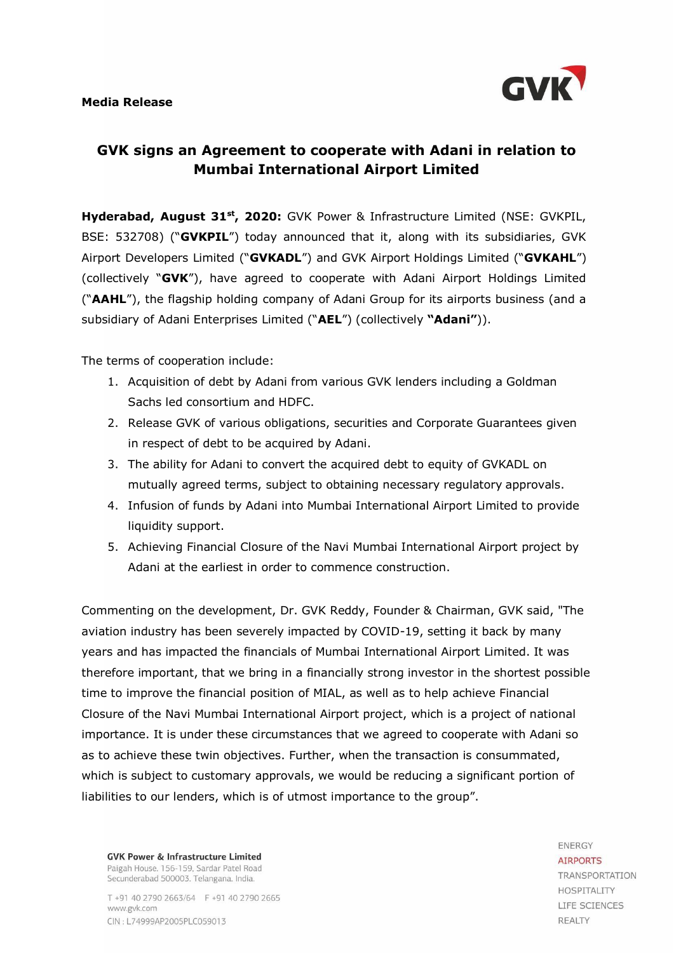## **Media Release**



## **GVK signs an Agreement to cooperate with Adani in relation to Mumbai International Airport Limited**

**Hyderabad, August 31st, 2020:** GVK Power & Infrastructure Limited (NSE: GVKPIL, BSE: 532708) ("**GVKPIL**") today announced that it, along with its subsidiaries, GVK Airport Developers Limited ("**GVKADL**") and GVK Airport Holdings Limited ("**GVKAHL**") (collectively "**GVK**"), have agreed to cooperate with Adani Airport Holdings Limited ("**AAHL**"), the flagship holding company of Adani Group for its airports business (and a subsidiary of Adani Enterprises Limited ("**AEL**") (collectively **"Adani"**)).

The terms of cooperation include:

- 1. Acquisition of debt by Adani from various GVK lenders including a Goldman Sachs led consortium and HDFC.
- 2. Release GVK of various obligations, securities and Corporate Guarantees given in respect of debt to be acquired by Adani.
- 3. The ability for Adani to convert the acquired debt to equity of GVKADL on mutually agreed terms, subject to obtaining necessary regulatory approvals.
- 4. Infusion of funds by Adani into Mumbai International Airport Limited to provide liquidity support.
- 5. Achieving Financial Closure of the Navi Mumbai International Airport project by Adani at the earliest in order to commence construction.

Commenting on the development, Dr. GVK Reddy, Founder & Chairman, GVK said, "The aviation industry has been severely impacted by COVID-19, setting it back by many years and has impacted the financials of Mumbai International Airport Limited. It was therefore important, that we bring in a financially strong investor in the shortest possible time to improve the financial position of MIAL, as well as to help achieve Financial Closure of the Navi Mumbai International Airport project, which is a project of national importance. It is under these circumstances that we agreed to cooperate with Adani so as to achieve these twin objectives. Further, when the transaction is consummated, which is subject to customary approvals, we would be reducing a significant portion of liabilities to our lenders, which is of utmost importance to the group".

**GVK Power & Infrastructure Limited** Paigah House, 156-159, Sardar Patel Road Secunderabad 500003. Telangana. India.

T +91 40 2790 2663/64 F +91 40 2790 2665 www.gvk.com CIN: L74999AP2005PLC059013

**ENERGY AIRPORTS** TRANSPORTATION **HOSPITALITY** LIFE SCIENCES **REALTY**